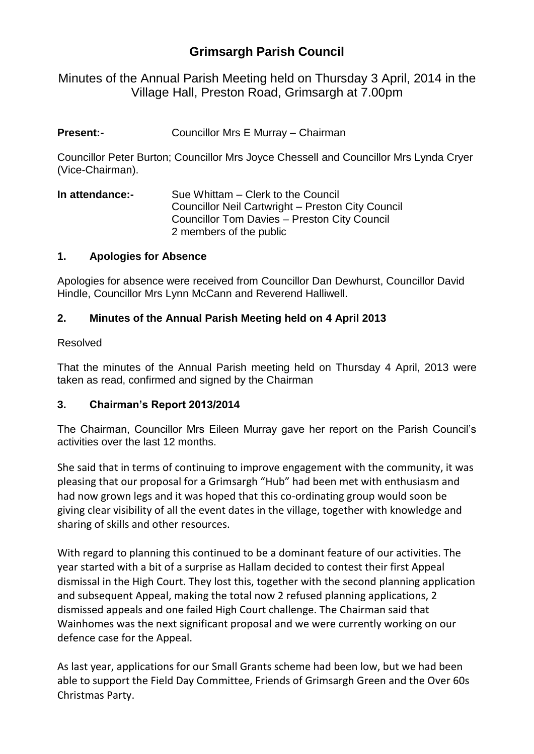# **Grimsargh Parish Council**

Minutes of the Annual Parish Meeting held on Thursday 3 April, 2014 in the Village Hall, Preston Road, Grimsargh at 7.00pm

**Present:-** Councillor Mrs E Murray – Chairman

Councillor Peter Burton; Councillor Mrs Joyce Chessell and Councillor Mrs Lynda Cryer (Vice-Chairman).

**In attendance:-** Sue Whittam – Clerk to the Council Councillor Neil Cartwright – Preston City Council Councillor Tom Davies – Preston City Council 2 members of the public

#### **1. Apologies for Absence**

Apologies for absence were received from Councillor Dan Dewhurst, Councillor David Hindle, Councillor Mrs Lynn McCann and Reverend Halliwell.

### **2. Minutes of the Annual Parish Meeting held on 4 April 2013**

#### Resolved

That the minutes of the Annual Parish meeting held on Thursday 4 April, 2013 were taken as read, confirmed and signed by the Chairman

#### **3. Chairman's Report 2013/2014**

The Chairman, Councillor Mrs Eileen Murray gave her report on the Parish Council's activities over the last 12 months.

She said that in terms of continuing to improve engagement with the community, it was pleasing that our proposal for a Grimsargh "Hub" had been met with enthusiasm and had now grown legs and it was hoped that this co-ordinating group would soon be giving clear visibility of all the event dates in the village, together with knowledge and sharing of skills and other resources.

With regard to planning this continued to be a dominant feature of our activities. The year started with a bit of a surprise as Hallam decided to contest their first Appeal dismissal in the High Court. They lost this, together with the second planning application and subsequent Appeal, making the total now 2 refused planning applications, 2 dismissed appeals and one failed High Court challenge. The Chairman said that Wainhomes was the next significant proposal and we were currently working on our defence case for the Appeal.

As last year, applications for our Small Grants scheme had been low, but we had been able to support the Field Day Committee, Friends of Grimsargh Green and the Over 60s Christmas Party.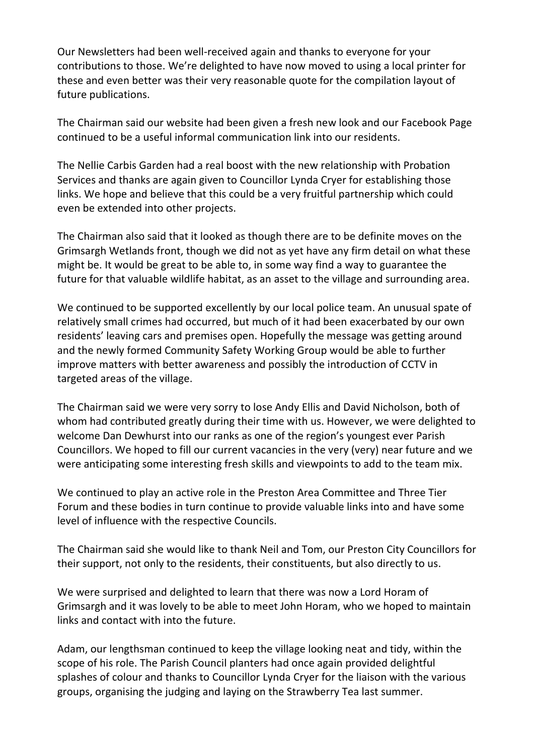Our Newsletters had been well-received again and thanks to everyone for your contributions to those. We're delighted to have now moved to using a local printer for these and even better was their very reasonable quote for the compilation layout of future publications.

The Chairman said our website had been given a fresh new look and our Facebook Page continued to be a useful informal communication link into our residents.

The Nellie Carbis Garden had a real boost with the new relationship with Probation Services and thanks are again given to Councillor Lynda Cryer for establishing those links. We hope and believe that this could be a very fruitful partnership which could even be extended into other projects.

The Chairman also said that it looked as though there are to be definite moves on the Grimsargh Wetlands front, though we did not as yet have any firm detail on what these might be. It would be great to be able to, in some way find a way to guarantee the future for that valuable wildlife habitat, as an asset to the village and surrounding area.

We continued to be supported excellently by our local police team. An unusual spate of relatively small crimes had occurred, but much of it had been exacerbated by our own residents' leaving cars and premises open. Hopefully the message was getting around and the newly formed Community Safety Working Group would be able to further improve matters with better awareness and possibly the introduction of CCTV in targeted areas of the village.

The Chairman said we were very sorry to lose Andy Ellis and David Nicholson, both of whom had contributed greatly during their time with us. However, we were delighted to welcome Dan Dewhurst into our ranks as one of the region's youngest ever Parish Councillors. We hoped to fill our current vacancies in the very (very) near future and we were anticipating some interesting fresh skills and viewpoints to add to the team mix.

We continued to play an active role in the Preston Area Committee and Three Tier Forum and these bodies in turn continue to provide valuable links into and have some level of influence with the respective Councils.

The Chairman said she would like to thank Neil and Tom, our Preston City Councillors for their support, not only to the residents, their constituents, but also directly to us.

We were surprised and delighted to learn that there was now a Lord Horam of Grimsargh and it was lovely to be able to meet John Horam, who we hoped to maintain links and contact with into the future.

Adam, our lengthsman continued to keep the village looking neat and tidy, within the scope of his role. The Parish Council planters had once again provided delightful splashes of colour and thanks to Councillor Lynda Cryer for the liaison with the various groups, organising the judging and laying on the Strawberry Tea last summer.